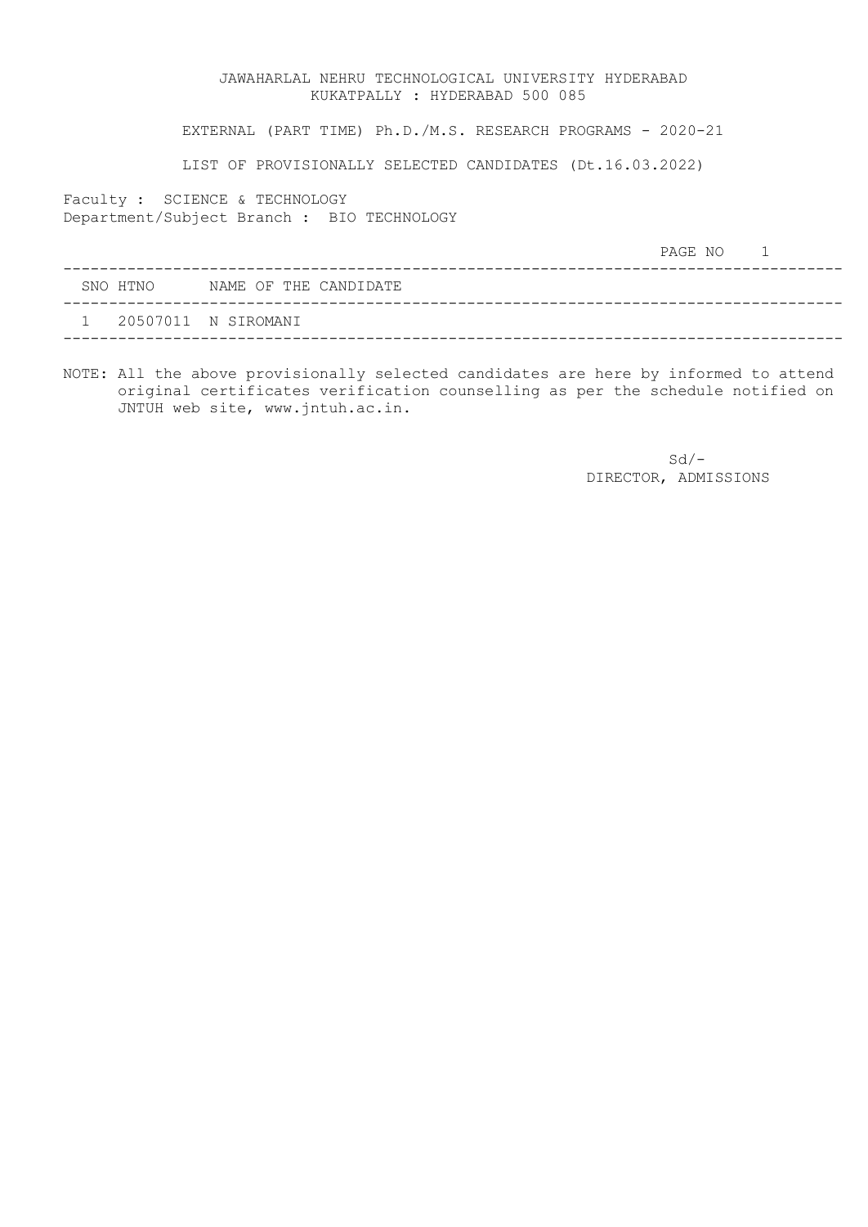EXTERNAL (PART TIME) Ph.D./M.S. RESEARCH PROGRAMS - 2020-21

LIST OF PROVISIONALLY SELECTED CANDIDATES (Dt.16.03.2022)

Faculty : SCIENCE & TECHNOLOGY Department/Subject Branch : BIO TECHNOLOGY

|          |                       | PAGE NO |  |
|----------|-----------------------|---------|--|
| SNO HTNO | NAME OF THE CANDIDATE |         |  |
|          | 20507011 N SIROMANI   |         |  |

NOTE: All the above provisionally selected candidates are here by informed to attend original certificates verification counselling as per the schedule notified on JNTUH web site, www.jntuh.ac.in.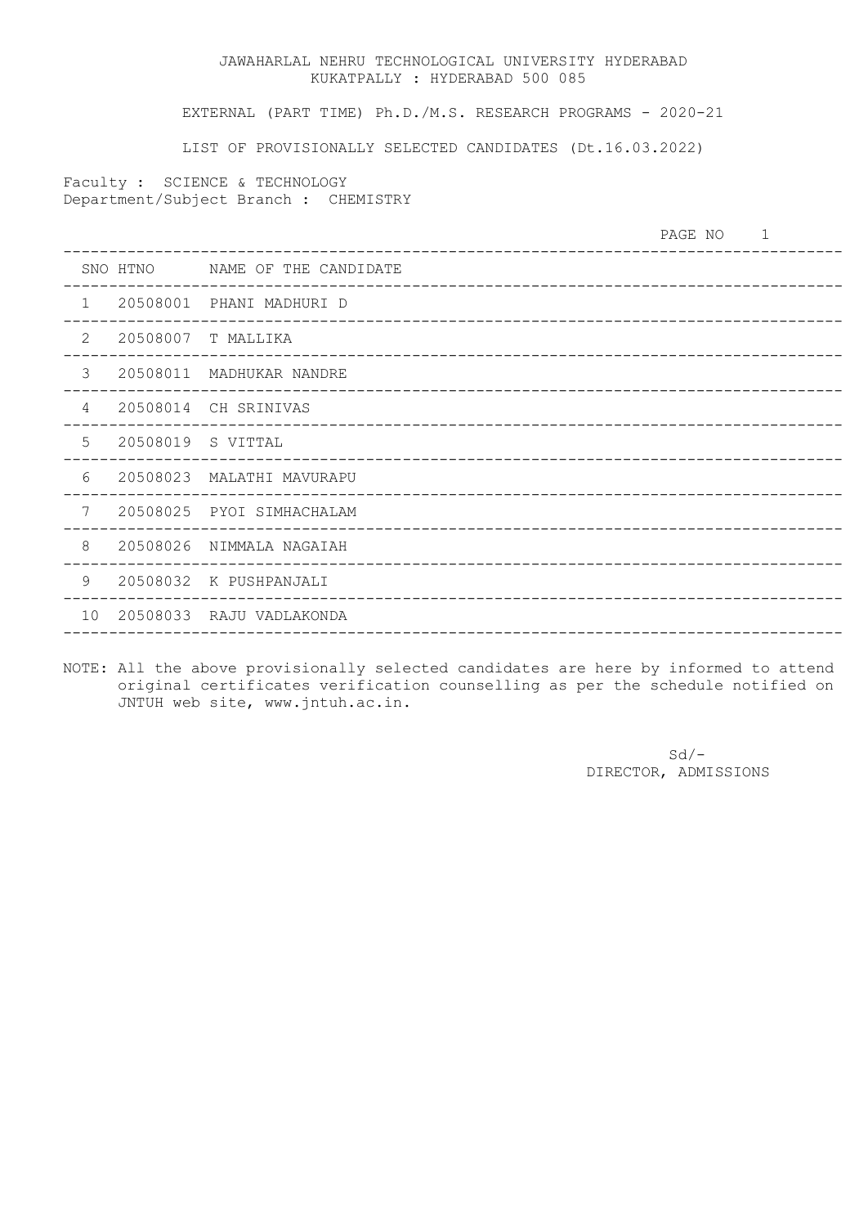EXTERNAL (PART TIME) Ph.D./M.S. RESEARCH PROGRAMS - 2020-21

LIST OF PROVISIONALLY SELECTED CANDIDATES (Dt.16.03.2022)

Faculty : SCIENCE & TECHNOLOGY Department/Subject Branch : CHEMISTRY

|                 |                   | _____________________________                                | PAGE NO |  |
|-----------------|-------------------|--------------------------------------------------------------|---------|--|
|                 | SNO HTNO          | NAME OF THE CANDIDATE<br>___________________________________ |         |  |
| $\mathbf{1}$    | 20508001          | PHANI MADHURI D                                              |         |  |
| 2               | 20508007          | T MALLIKA                                                    |         |  |
| 3               | 20508011          | MADHUKAR NANDRE                                              |         |  |
| 4               |                   | 20508014 CH SRINIVAS                                         |         |  |
| 5               | 20508019 S VITTAL |                                                              |         |  |
| 6               |                   | 20508023 MALATHI MAVURAPU                                    |         |  |
| 7               |                   | 20508025 PYOI SIMHACHALAM                                    |         |  |
| $\,8\,$         | 20508026          | NIMMALA NAGAIAH                                              |         |  |
| 9               |                   | 20508032 K PUSHPANJALI                                       |         |  |
| 10 <sup>°</sup> |                   | 20508033 RAJU VADLAKONDA                                     |         |  |

NOTE: All the above provisionally selected candidates are here by informed to attend original certificates verification counselling as per the schedule notified on JNTUH web site, www.jntuh.ac.in.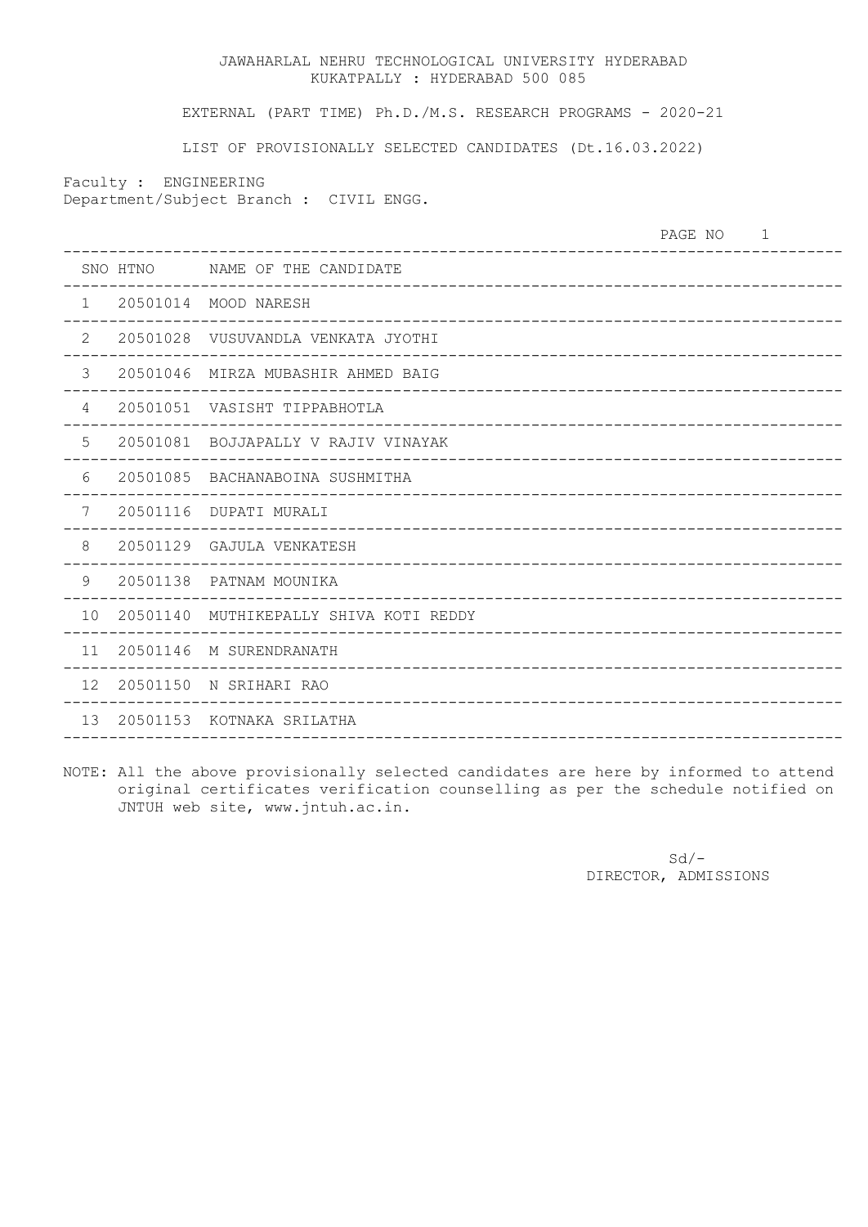EXTERNAL (PART TIME) Ph.D./M.S. RESEARCH PROGRAMS - 2020-21

LIST OF PROVISIONALLY SELECTED CANDIDATES (Dt.16.03.2022)

Faculty : ENGINEERING Department/Subject Branch : CIVIL ENGG.

PAGE NO 1 ------------------------------------------------------------------------------------- SNO HTNO NAME OF THE CANDIDATE ------------------------------------------------------------------------------------- 1 20501014 MOOD NARESH ------------------------------------------------------------------------------------- 2 20501028 VUSUVANDLA VENKATA JYOTHI ------------------------------------------------------------------------------------- 3 20501046 MIRZA MUBASHIR AHMED BAIG ------------------------------------------------------------------------------------- 4 20501051 VASISHT TIPPABHOTLA ------------------------------------------------------------------------------------- 5 20501081 BOJJAPALLY V RAJIV VINAYAK ------------------------------------------------------------------------------------- 6 20501085 BACHANABOINA SUSHMITHA ------------------------------------------------------------------------------------- 7 20501116 DUPATI MURALI ------------------------------------------------------------------------------------- 8 20501129 GAJULA VENKATESH ------------------------------------------------------------------------------------- 9 20501138 PATNAM MOUNIKA ------------------------------------------------------------------------------------- 10 20501140 MUTHIKEPALLY SHIVA KOTI REDDY ------------------------------------------------------------------------------------- 11 20501146 M SURENDRANATH ------------------------------------------------------------------------------------- 12 20501150 N SRIHARI RAO ------------------------------------------------------------------------------------- 13 20501153 KOTNAKA SRILATHA -------------------------------------------------------------------------------------

NOTE: All the above provisionally selected candidates are here by informed to attend original certificates verification counselling as per the schedule notified on JNTUH web site, www.jntuh.ac.in.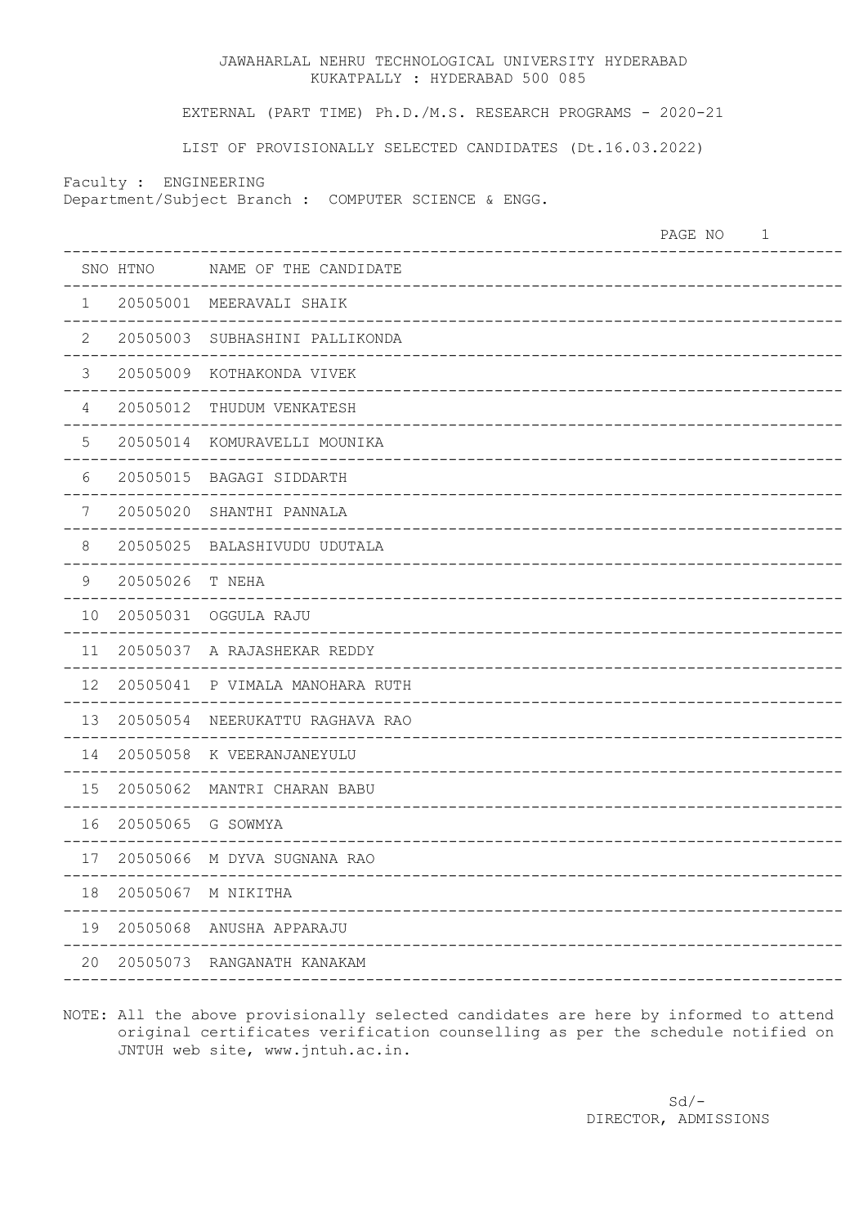EXTERNAL (PART TIME) Ph.D./M.S. RESEARCH PROGRAMS - 2020-21

LIST OF PROVISIONALLY SELECTED CANDIDATES (Dt.16.03.2022)

Faculty : ENGINEERING

Department/Subject Branch : COMPUTER SCIENCE & ENGG.

|                |                   |                                               | PAGE NO | $\mathbf 1$ |
|----------------|-------------------|-----------------------------------------------|---------|-------------|
|                | SNO HTNO          | NAME OF THE CANDIDATE                         |         |             |
| $\mathbf{1}$   |                   | 20505001 MEERAVALI SHAIK                      |         |             |
| $\mathbf{2}$   |                   | 20505003 SUBHASHINI PALLIKONDA                |         |             |
| 3              |                   | 20505009 KOTHAKONDA VIVEK                     |         |             |
| 4              | 20505012          | THUDUM VENKATESH                              |         |             |
| 5              |                   | 20505014 KOMURAVELLI MOUNIKA                  |         |             |
| 6              |                   | 20505015 BAGAGI SIDDARTH                      |         |             |
| $\overline{7}$ | 20505020          | SHANTHI PANNALA                               |         |             |
| $\,8\,$        |                   | 20505025 BALASHIVUDU UDUTALA                  |         |             |
| $\mathsf 9$    | 20505026          | T NEHA                                        |         |             |
| 10             | 20505031          | OGGULA RAJU<br>------------                   |         |             |
| 11             |                   | 20505037 A RAJASHEKAR REDDY<br>______________ |         |             |
| 12             |                   | 20505041 P VIMALA MANOHARA RUTH               |         |             |
| 13             | 20505054          | NEERUKATTU RAGHAVA RAO                        |         |             |
| 14             |                   | 20505058 K VEERANJANEYULU                     |         |             |
| 15             | 20505062          | MANTRI CHARAN BABU                            |         |             |
| 16             | 20505065 G SOWMYA |                                               |         |             |
| 17             |                   | 20505066 M DYVA SUGNANA RAO                   |         |             |
| 18             |                   | 20505067 M NIKITHA                            |         |             |
| 19             |                   | 20505068 ANUSHA APPARAJU                      |         |             |
| 20             |                   | 20505073 RANGANATH KANAKAM                    |         |             |
|                |                   |                                               |         |             |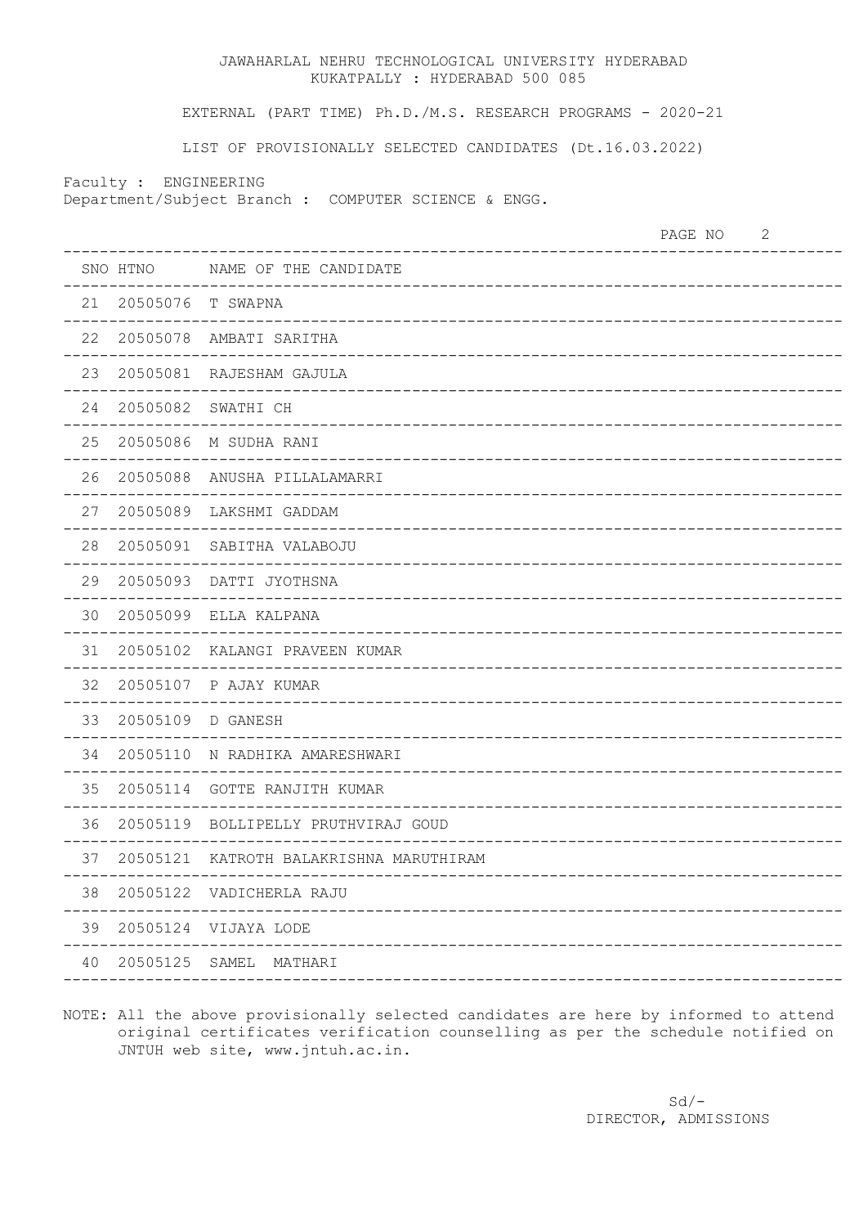EXTERNAL (PART TIME) Ph.D./M.S. RESEARCH PROGRAMS - 2020-21

LIST OF PROVISIONALLY SELECTED CANDIDATES (Dt.16.03.2022)

Faculty : ENGINEERING

Department/Subject Branch : COMPUTER SCIENCE & ENGG.

| SNO HTNO<br>NAME OF THE CANDIDATE<br>21<br>20505076 T SWAPNA<br>22<br>20505078 AMBATI SARITHA<br>23<br>20505081 RAJESHAM GAJULA<br>24<br>20505082 SWATHI CH<br>25<br>20505086 M SUDHA RANI<br>26<br>20505088 ANUSHA PILLALAMARRI<br>27<br>20505089 LAKSHMI GADDAM<br>28<br>20505091<br>SABITHA VALABOJU<br>29<br>20505093<br>DATTI JYOTHSNA<br>30<br>20505099<br>ELLA KALPANA<br>31<br>20505102<br>KALANGI PRAVEEN KUMAR<br>32<br>20505107<br>P AJAY KUMAR<br>33<br>20505109<br>D GANESH<br>34<br>20505110<br>N RADHIKA AMARESHWARI<br>35<br>20505114<br><b>GOTTE RANJITH KUMAR</b><br>36<br>20505119<br>BOLLIPELLY PRUTHVIRAJ GOUD<br>37<br>20505121 KATROTH BALAKRISHNA MARUTHIRAM<br>38<br>20505122 VADICHERLA RAJU<br>39<br>20505124 VIJAYA LODE<br>40<br>20505125 SAMEL<br>MATHARI |  | $\mathbf{2}$<br>PAGE NO |
|-----------------------------------------------------------------------------------------------------------------------------------------------------------------------------------------------------------------------------------------------------------------------------------------------------------------------------------------------------------------------------------------------------------------------------------------------------------------------------------------------------------------------------------------------------------------------------------------------------------------------------------------------------------------------------------------------------------------------------------------------------------------------------------------|--|-------------------------|
|                                                                                                                                                                                                                                                                                                                                                                                                                                                                                                                                                                                                                                                                                                                                                                                         |  |                         |
|                                                                                                                                                                                                                                                                                                                                                                                                                                                                                                                                                                                                                                                                                                                                                                                         |  |                         |
|                                                                                                                                                                                                                                                                                                                                                                                                                                                                                                                                                                                                                                                                                                                                                                                         |  |                         |
|                                                                                                                                                                                                                                                                                                                                                                                                                                                                                                                                                                                                                                                                                                                                                                                         |  |                         |
|                                                                                                                                                                                                                                                                                                                                                                                                                                                                                                                                                                                                                                                                                                                                                                                         |  |                         |
|                                                                                                                                                                                                                                                                                                                                                                                                                                                                                                                                                                                                                                                                                                                                                                                         |  |                         |
|                                                                                                                                                                                                                                                                                                                                                                                                                                                                                                                                                                                                                                                                                                                                                                                         |  |                         |
|                                                                                                                                                                                                                                                                                                                                                                                                                                                                                                                                                                                                                                                                                                                                                                                         |  |                         |
|                                                                                                                                                                                                                                                                                                                                                                                                                                                                                                                                                                                                                                                                                                                                                                                         |  |                         |
|                                                                                                                                                                                                                                                                                                                                                                                                                                                                                                                                                                                                                                                                                                                                                                                         |  |                         |
|                                                                                                                                                                                                                                                                                                                                                                                                                                                                                                                                                                                                                                                                                                                                                                                         |  |                         |
|                                                                                                                                                                                                                                                                                                                                                                                                                                                                                                                                                                                                                                                                                                                                                                                         |  |                         |
|                                                                                                                                                                                                                                                                                                                                                                                                                                                                                                                                                                                                                                                                                                                                                                                         |  |                         |
|                                                                                                                                                                                                                                                                                                                                                                                                                                                                                                                                                                                                                                                                                                                                                                                         |  |                         |
|                                                                                                                                                                                                                                                                                                                                                                                                                                                                                                                                                                                                                                                                                                                                                                                         |  |                         |
|                                                                                                                                                                                                                                                                                                                                                                                                                                                                                                                                                                                                                                                                                                                                                                                         |  |                         |
|                                                                                                                                                                                                                                                                                                                                                                                                                                                                                                                                                                                                                                                                                                                                                                                         |  |                         |
|                                                                                                                                                                                                                                                                                                                                                                                                                                                                                                                                                                                                                                                                                                                                                                                         |  |                         |
|                                                                                                                                                                                                                                                                                                                                                                                                                                                                                                                                                                                                                                                                                                                                                                                         |  |                         |
|                                                                                                                                                                                                                                                                                                                                                                                                                                                                                                                                                                                                                                                                                                                                                                                         |  |                         |
|                                                                                                                                                                                                                                                                                                                                                                                                                                                                                                                                                                                                                                                                                                                                                                                         |  |                         |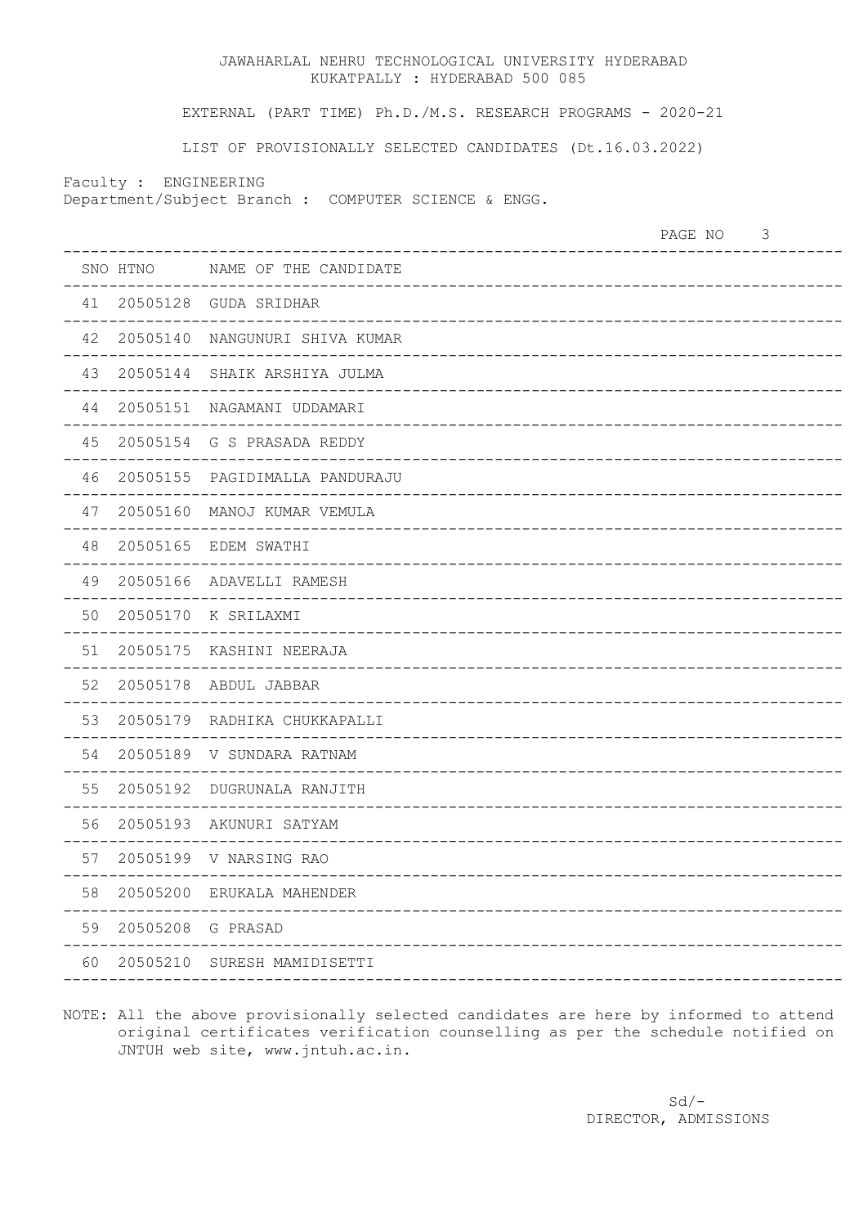EXTERNAL (PART TIME) Ph.D./M.S. RESEARCH PROGRAMS - 2020-21

LIST OF PROVISIONALLY SELECTED CANDIDATES (Dt.16.03.2022)

Faculty : ENGINEERING

Department/Subject Branch : COMPUTER SCIENCE & ENGG.

|    |                      | PAGE NO                              | 3 |
|----|----------------------|--------------------------------------|---|
|    |                      | SNO HTNO MAME OF THE CANDIDATE       |   |
|    |                      | 41  20505128  GUDA SRIDHAR           |   |
|    |                      | 42 20505140 NANGUNURI SHIVA KUMAR    |   |
|    |                      | 43 20505144 SHAIK ARSHIYA JULMA      |   |
|    |                      | 44 20505151 NAGAMANI UDDAMARI        |   |
| 45 |                      | 20505154 G S PRASADA REDDY           |   |
| 46 |                      | 20505155 PAGIDIMALLA PANDURAJU       |   |
| 47 |                      | 20505160 MANOJ KUMAR VEMULA          |   |
| 48 |                      | 20505165 EDEM SWATHI                 |   |
| 49 |                      | 20505166 ADAVELLI RAMESH             |   |
| 50 |                      | 20505170 K SRILAXMI<br>___________   |   |
| 51 |                      | 20505175 KASHINI NEERAJA             |   |
| 52 |                      | 20505178 ABDUL JABBAR<br>----------- |   |
| 53 |                      | 20505179 RADHIKA CHUKKAPALLI         |   |
| 54 |                      | 20505189 V SUNDARA RATNAM            |   |
| 55 |                      | 20505192 DUGRUNALA RANJITH           |   |
| 56 |                      | 20505193 AKUNURI SATYAM              |   |
| 57 |                      | 20505199 V NARSING RAO               |   |
| 58 |                      | 20505200 ERUKALA MAHENDER            |   |
|    | 59 20505208 G PRASAD |                                      |   |
| 60 |                      | 20505210 SURESH MAMIDISETTI          |   |
|    |                      |                                      |   |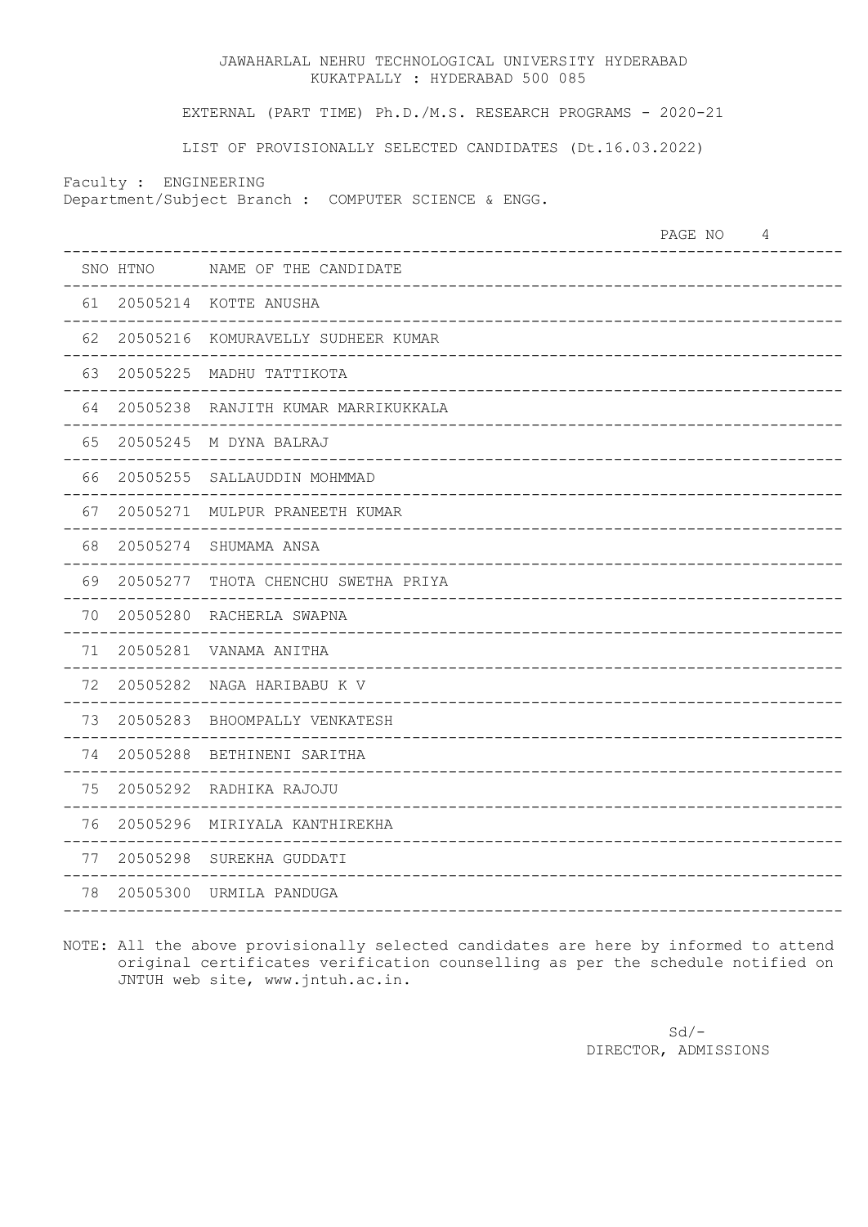EXTERNAL (PART TIME) Ph.D./M.S. RESEARCH PROGRAMS - 2020-21

LIST OF PROVISIONALLY SELECTED CANDIDATES (Dt.16.03.2022)

Faculty : ENGINEERING

Department/Subject Branch : COMPUTER SCIENCE & ENGG.

|    |          |                                     | PAGE NO | 4 |
|----|----------|-------------------------------------|---------|---|
|    | SNO HTNO | NAME OF THE CANDIDATE               |         |   |
|    |          | 61 20505214 KOTTE ANUSHA            |         |   |
| 62 | 20505216 | KOMURAVELLY SUDHEER KUMAR           |         |   |
| 63 | 20505225 | MADHU TATTIKOTA                     |         |   |
| 64 | 20505238 | RANJITH KUMAR MARRIKUKKALA          |         |   |
| 65 |          | 20505245 M DYNA BALRAJ              |         |   |
| 66 |          | 20505255 SALLAUDDIN MOHMMAD         |         |   |
| 67 |          | 20505271 MULPUR PRANEETH KUMAR      |         |   |
| 68 |          | 20505274 SHUMAMA ANSA               |         |   |
| 69 |          | 20505277 THOTA CHENCHU SWETHA PRIYA |         |   |
| 70 | 20505280 | RACHERLA SWAPNA                     |         |   |
| 71 |          | 20505281 VANAMA ANITHA              |         |   |
| 72 |          | 20505282 NAGA HARIBABU K V          |         |   |
| 73 |          | 20505283 BHOOMPALLY VENKATESH       |         |   |
| 74 |          | 20505288 BETHINENI SARITHA          |         |   |
| 75 |          | 20505292 RADHIKA RAJOJU             |         |   |
| 76 |          | 20505296 MIRIYALA KANTHIREKHA       |         |   |
| 77 | 20505298 | SUREKHA GUDDATI                     |         |   |
| 78 | 20505300 | URMILA PANDUGA                      |         |   |
|    |          |                                     |         |   |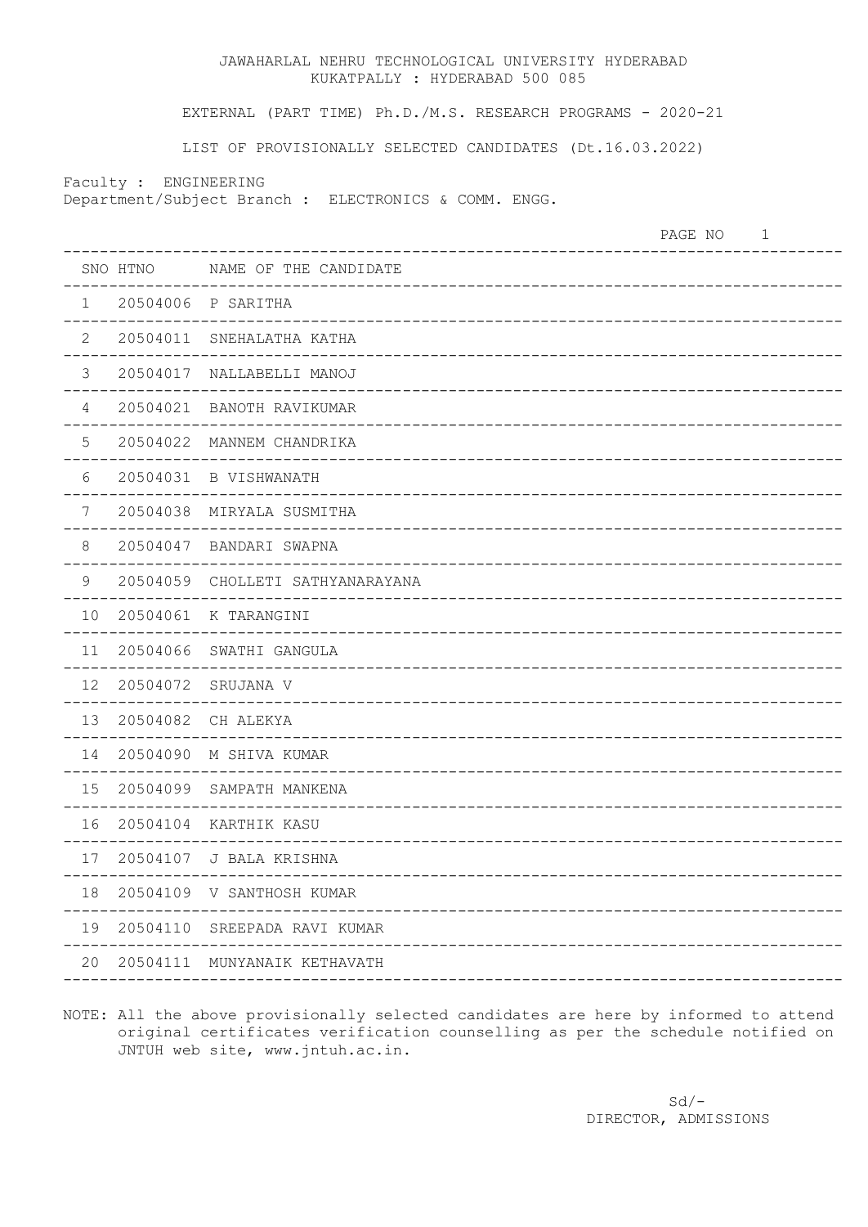EXTERNAL (PART TIME) Ph.D./M.S. RESEARCH PROGRAMS - 2020-21

LIST OF PROVISIONALLY SELECTED CANDIDATES (Dt.16.03.2022)

Faculty : ENGINEERING

Department/Subject Branch : ELECTRONICS & COMM. ENGG.

|                |          |                                 | PAGE NO | 1 |
|----------------|----------|---------------------------------|---------|---|
|                | SNO HTNO | NAME OF THE CANDIDATE           |         |   |
| $\mathbf{1}$   | 20504006 | P SARITHA                       |         |   |
| $\overline{2}$ | 20504011 | SNEHALATHA KATHA                |         |   |
| $\mathcal{S}$  | 20504017 | NALLABELLI MANOJ                |         |   |
| $\overline{4}$ | 20504021 | BANOTH RAVIKUMAR                |         |   |
| 5              | 20504022 | MANNEM CHANDRIKA                |         |   |
| 6              | 20504031 | B VISHWANATH                    |         |   |
| $\overline{7}$ | 20504038 | MIRYALA SUSMITHA                |         |   |
| $\,8\,$        | 20504047 | BANDARI SWAPNA                  |         |   |
| $\mathsf 9$    | 20504059 | CHOLLETI SATHYANARAYANA         |         |   |
| 10             | 20504061 | K TARANGINI                     |         |   |
| 11             | 20504066 | SWATHI GANGULA                  |         |   |
| 12             | 20504072 | SRUJANA V                       |         |   |
| 13             | 20504082 | CH ALEKYA                       |         |   |
| 14             | 20504090 | M SHIVA KUMAR                   |         |   |
| 15             | 20504099 | SAMPATH MANKENA                 |         |   |
| 16             | 20504104 | KARTHIK KASU                    |         |   |
| 17             | 20504107 | J BALA KRISHNA                  |         |   |
|                |          | 18 20504109 V SANTHOSH KUMAR    |         |   |
|                |          | 19 20504110 SREEPADA RAVI KUMAR |         |   |
|                |          | 20 20504111 MUNYANAIK KETHAVATH |         |   |
|                |          |                                 |         |   |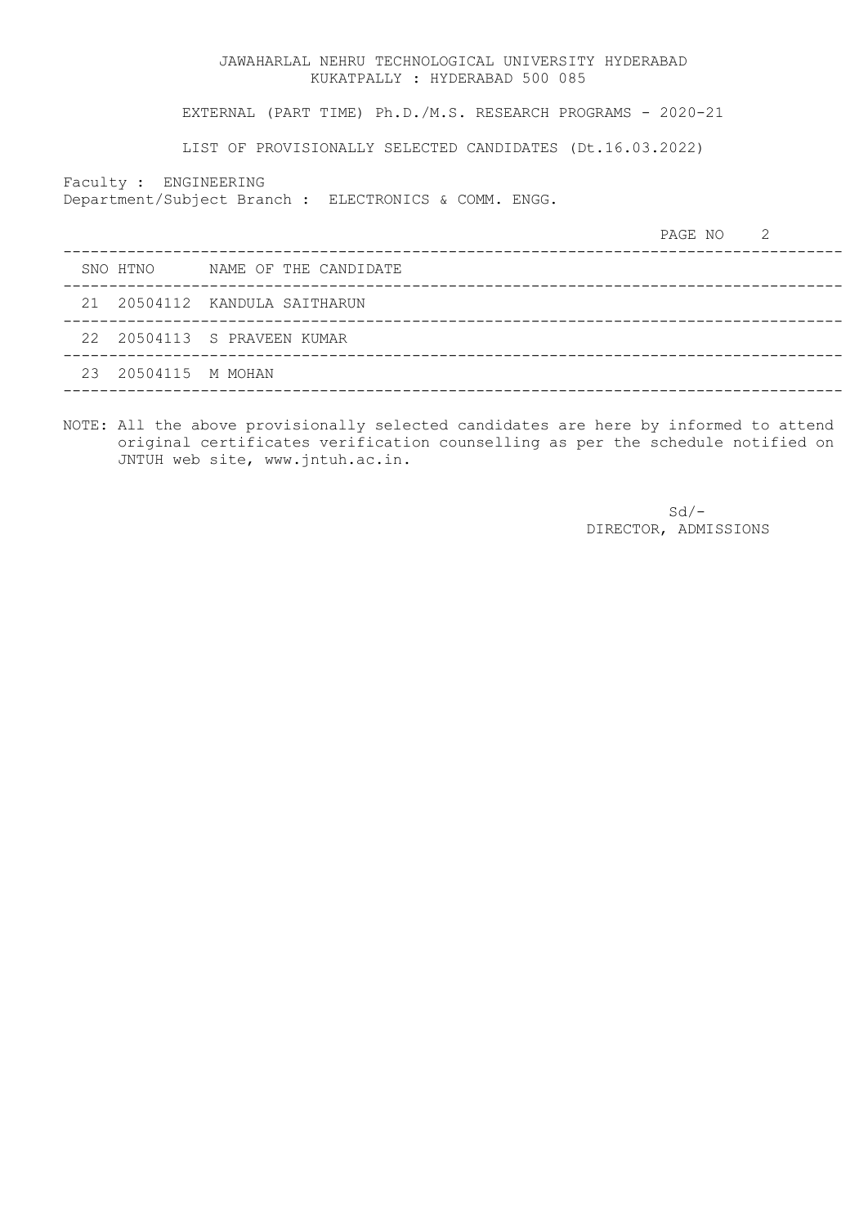EXTERNAL (PART TIME) Ph.D./M.S. RESEARCH PROGRAMS - 2020-21

LIST OF PROVISIONALLY SELECTED CANDIDATES (Dt.16.03.2022)

Faculty : ENGINEERING

Department/Subject Branch : ELECTRONICS & COMM. ENGG.

|  |                     |                                | PAGE NO 2 |  |
|--|---------------------|--------------------------------|-----------|--|
|  |                     | SNO HTNO NAME OF THE CANDIDATE |           |  |
|  |                     | 21 20504112 KANDULA SAITHARUN  |           |  |
|  |                     | 22 20504113 S PRAVEEN KUMAR    |           |  |
|  | 23 20504115 M MOHAN |                                |           |  |
|  |                     |                                |           |  |

NOTE: All the above provisionally selected candidates are here by informed to attend original certificates verification counselling as per the schedule notified on JNTUH web site, www.jntuh.ac.in.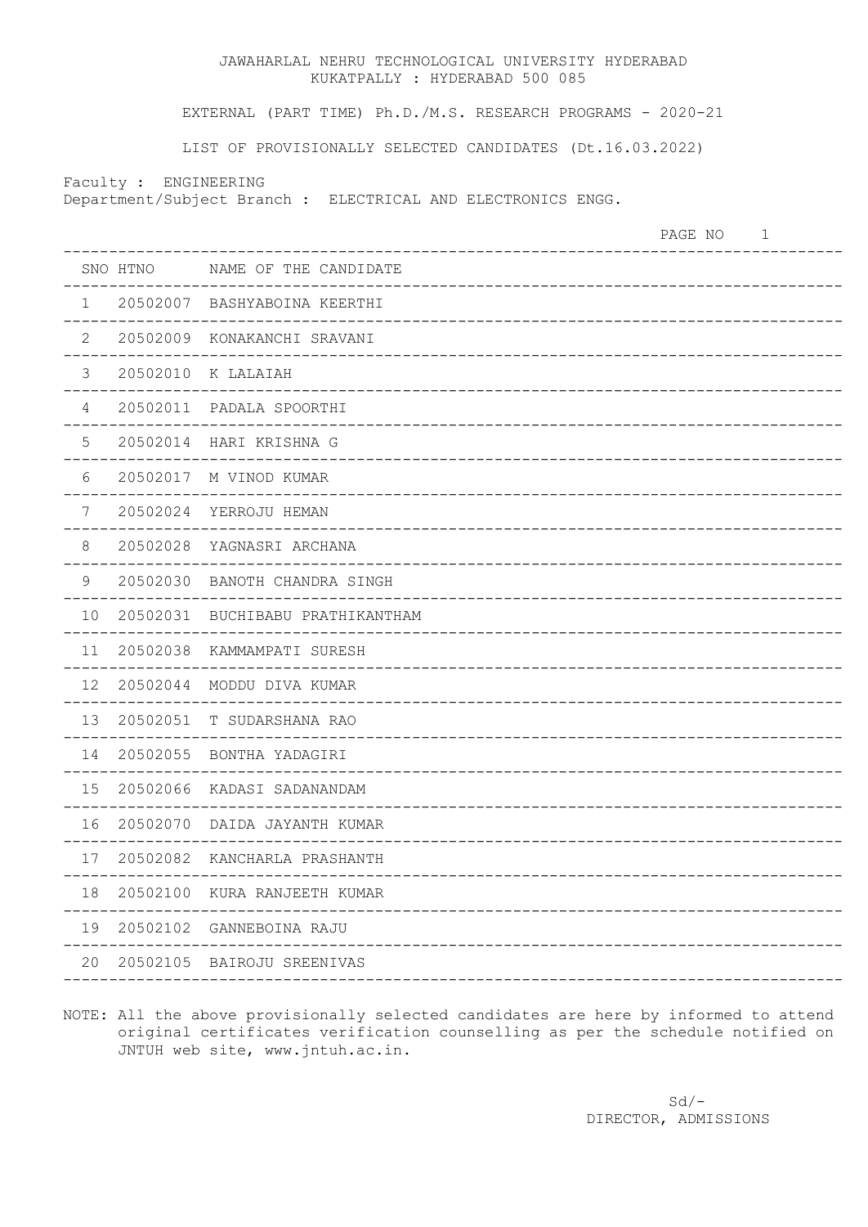EXTERNAL (PART TIME) Ph.D./M.S. RESEARCH PROGRAMS - 2020-21

LIST OF PROVISIONALLY SELECTED CANDIDATES (Dt.16.03.2022)

Faculty : ENGINEERING

Department/Subject Branch : ELECTRICAL AND ELECTRONICS ENGG.

PAGE NO 1 ------------------------------------------------------------------------------------- SNO HTNO NAME OF THE CANDIDATE ------------------------------------------------------------------------------------- 1 20502007 BASHYABOINA KEERTHI ------------------------------------------------------------------------------------- 2 20502009 KONAKANCHI SRAVANI ------------------------------------------------------------------------------------- 3 20502010 K LALAIAH ------------------------------------------------------------------------------------- 4 20502011 PADALA SPOORTHI ------------------------------------------------------------------------------------- 5 20502014 HARI KRISHNA G ------------------------------------------------------------------------------------- 6 20502017 M VINOD KUMAR ------------------------------------------------------------------------------------- 7 20502024 YERROJU HEMAN ------------------------------------------------------------------------------------- 8 20502028 YAGNASRI ARCHANA ------------------------------------------------------------------------------------- 9 20502030 BANOTH CHANDRA SINGH ------------------------------------------------------------------------------------- 10 20502031 BUCHIBABU PRATHIKANTHAM ------------------------------------------------------------------------------------- 11 20502038 KAMMAMPATI SURESH ------------------------------------------------------------------------------------- 12 20502044 MODDU DIVA KUMAR ------------------------------------------------------------------------------------- 13 20502051 T SUDARSHANA RAO ------------------------------------------------------------------------------------- 14 20502055 BONTHA YADAGIRI ------------------------------------------------------------------------------------- 15 20502066 KADASI SADANANDAM ------------------------------------------------------------------------------------- 16 20502070 DAIDA JAYANTH KUMAR ------------------------------------------------------------------------------------- 17 20502082 KANCHARLA PRASHANTH ------------------------------------------------------------------------------------- 18 20502100 KURA RANJEETH KUMAR ------------------------------------------------------------------------------------- 19 20502102 GANNEBOINA RAJU ------------------------------------------------------------------------------------- 20 20502105 BAIROJU SREENIVAS -------------------------------------------------------------------------------------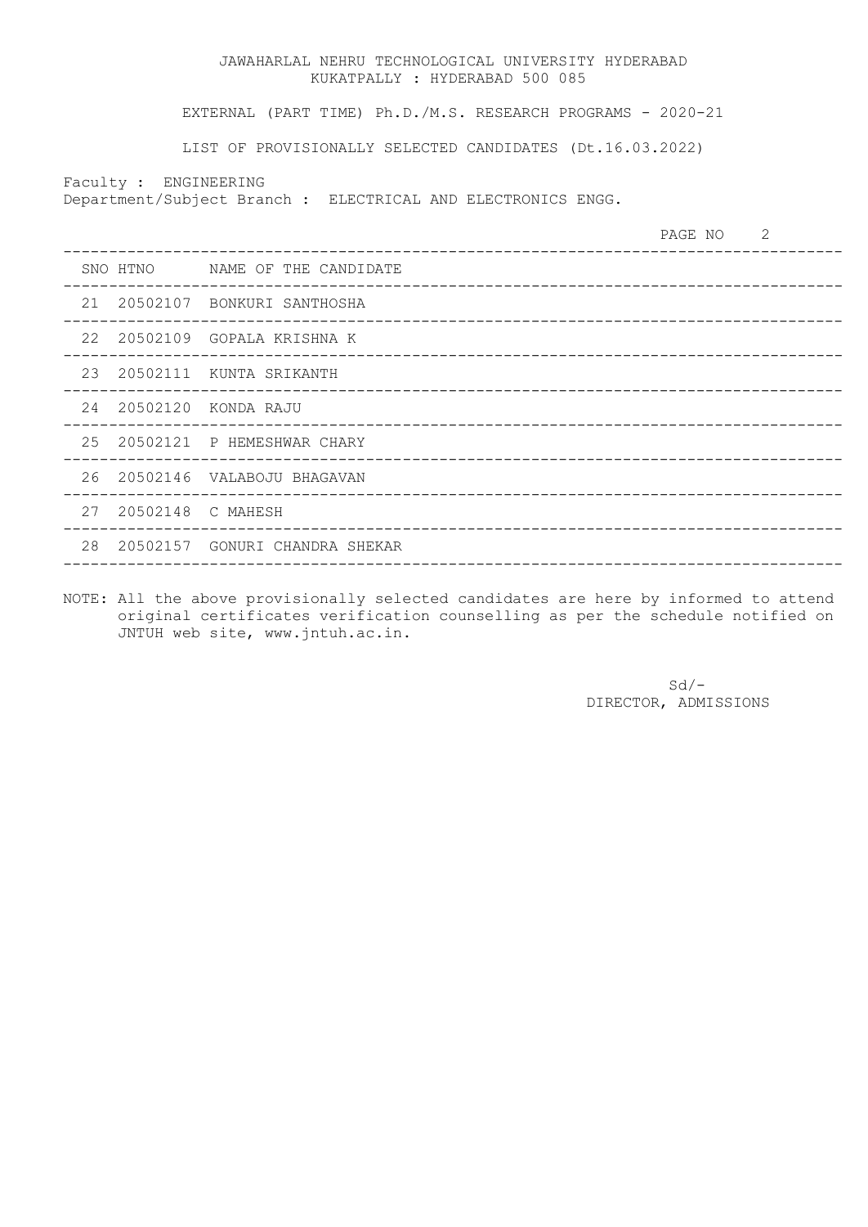EXTERNAL (PART TIME) Ph.D./M.S. RESEARCH PROGRAMS - 2020-21

LIST OF PROVISIONALLY SELECTED CANDIDATES (Dt.16.03.2022)

Faculty : ENGINEERING

Department/Subject Branch : ELECTRICAL AND ELECTRONICS ENGG.

|  |                      |                                   | PAGE NO 2 |  |
|--|----------------------|-----------------------------------|-----------|--|
|  |                      | SNO HTNO MAME OF THE CANDIDATE    |           |  |
|  |                      | 21 20502107 BONKURI SANTHOSHA     |           |  |
|  |                      | 22 20502109 GOPALA KRISHNA K      |           |  |
|  |                      | 23 20502111 KUNTA SRIKANTH        |           |  |
|  |                      | 24  20502120  KONDA RAJU          |           |  |
|  |                      | 25 20502121 P HEMESHWAR CHARY     |           |  |
|  |                      | 26 20502146 VALABOJU BHAGAVAN     |           |  |
|  | 27 20502148 C MAHESH |                                   |           |  |
|  |                      | 28 20502157 GONURI CHANDRA SHEKAR |           |  |
|  |                      |                                   |           |  |

NOTE: All the above provisionally selected candidates are here by informed to attend original certificates verification counselling as per the schedule notified on JNTUH web site, www.jntuh.ac.in.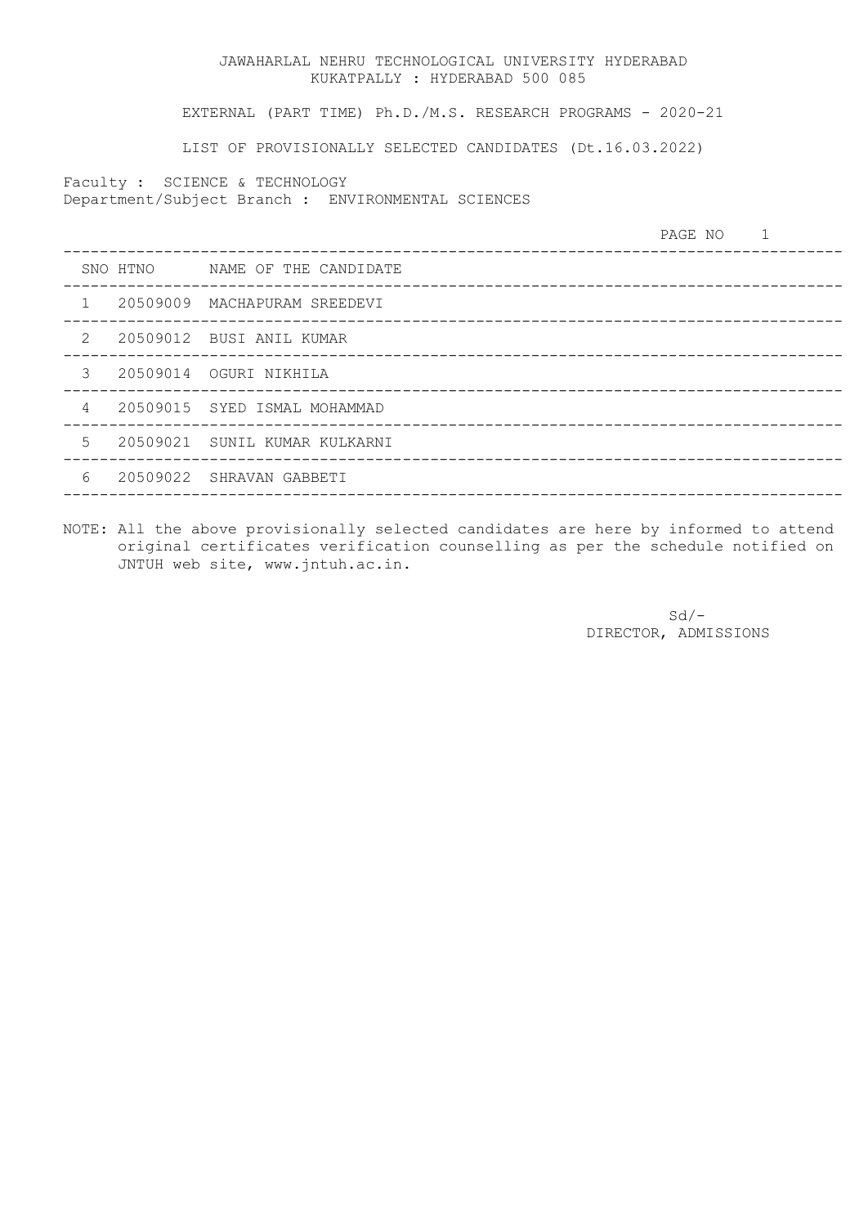EXTERNAL (PART TIME) Ph.D./M.S. RESEARCH PROGRAMS - 2020-21

LIST OF PROVISIONALLY SELECTED CANDIDATES (Dt.16.03.2022)

Faculty : SCIENCE & TECHNOLOGY

Department/Subject Branch : ENVIRONMENTAL SCIENCES

|                |                                | PAGE NO 1 |  |
|----------------|--------------------------------|-----------|--|
|                | SNO HTNO MAME OF THE CANDIDATE |           |  |
| $\mathbf{1}$   | 20509009 MACHAPURAM SREEDEVI   |           |  |
| $2^{\circ}$    | 20509012 BUSI ANIL KUMAR       |           |  |
| 3              | 20509014 OGURI NIKHILA         |           |  |
| $\overline{4}$ | 20509015 SYED ISMAL MOHAMMAD   |           |  |
| 5              | 20509021 SUNIL KUMAR KULKARNI  |           |  |
| 6              | 20509022 SHRAVAN GABBETI       |           |  |
|                |                                |           |  |

NOTE: All the above provisionally selected candidates are here by informed to attend original certificates verification counselling as per the schedule notified on JNTUH web site, www.jntuh.ac.in.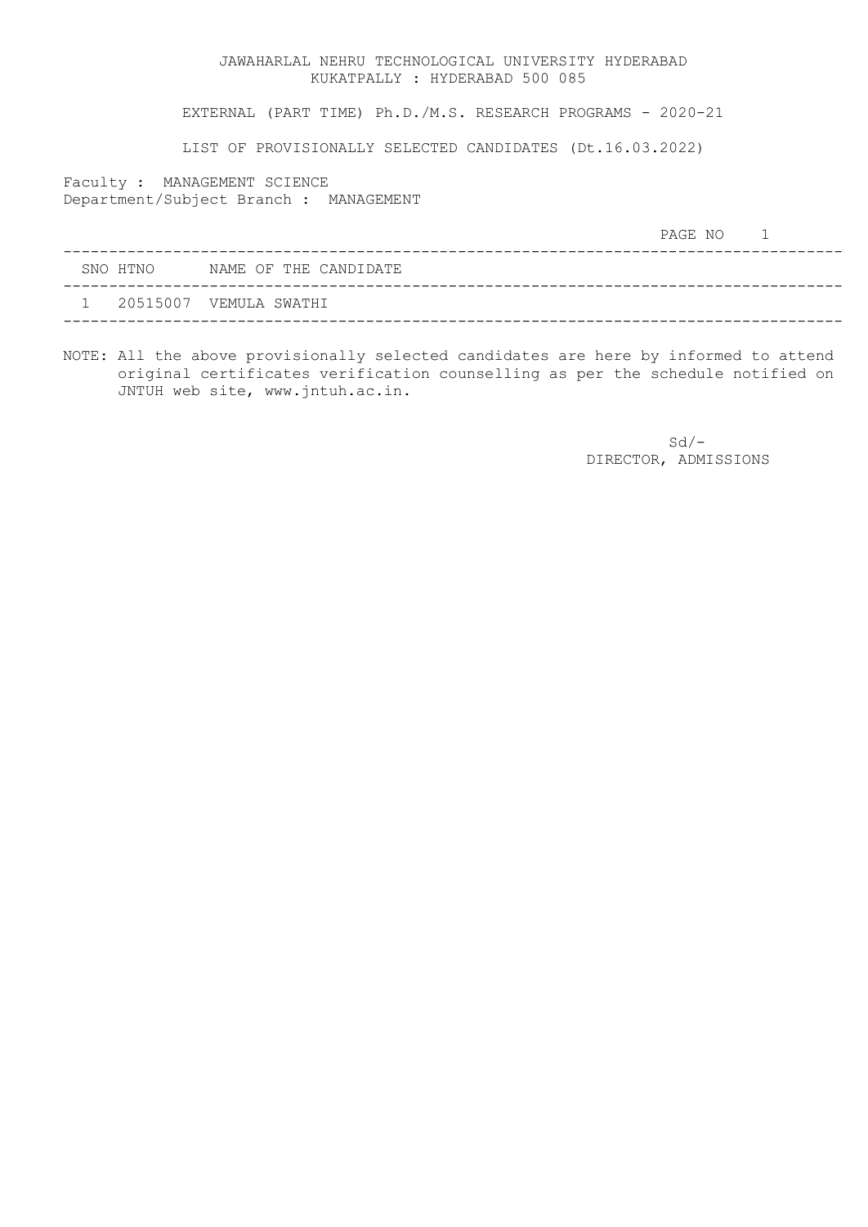EXTERNAL (PART TIME) Ph.D./M.S. RESEARCH PROGRAMS - 2020-21

LIST OF PROVISIONALLY SELECTED CANDIDATES (Dt.16.03.2022)

Faculty : MANAGEMENT SCIENCE Department/Subject Branch : MANAGEMENT

|  |          |                        | PAGE NO |  |
|--|----------|------------------------|---------|--|
|  | SNO HTNO | NAME OF THE CANDIDATE  |         |  |
|  |          | 20515007 VEMULA SWATHI |         |  |
|  |          |                        |         |  |

NOTE: All the above provisionally selected candidates are here by informed to attend original certificates verification counselling as per the schedule notified on JNTUH web site, www.jntuh.ac.in.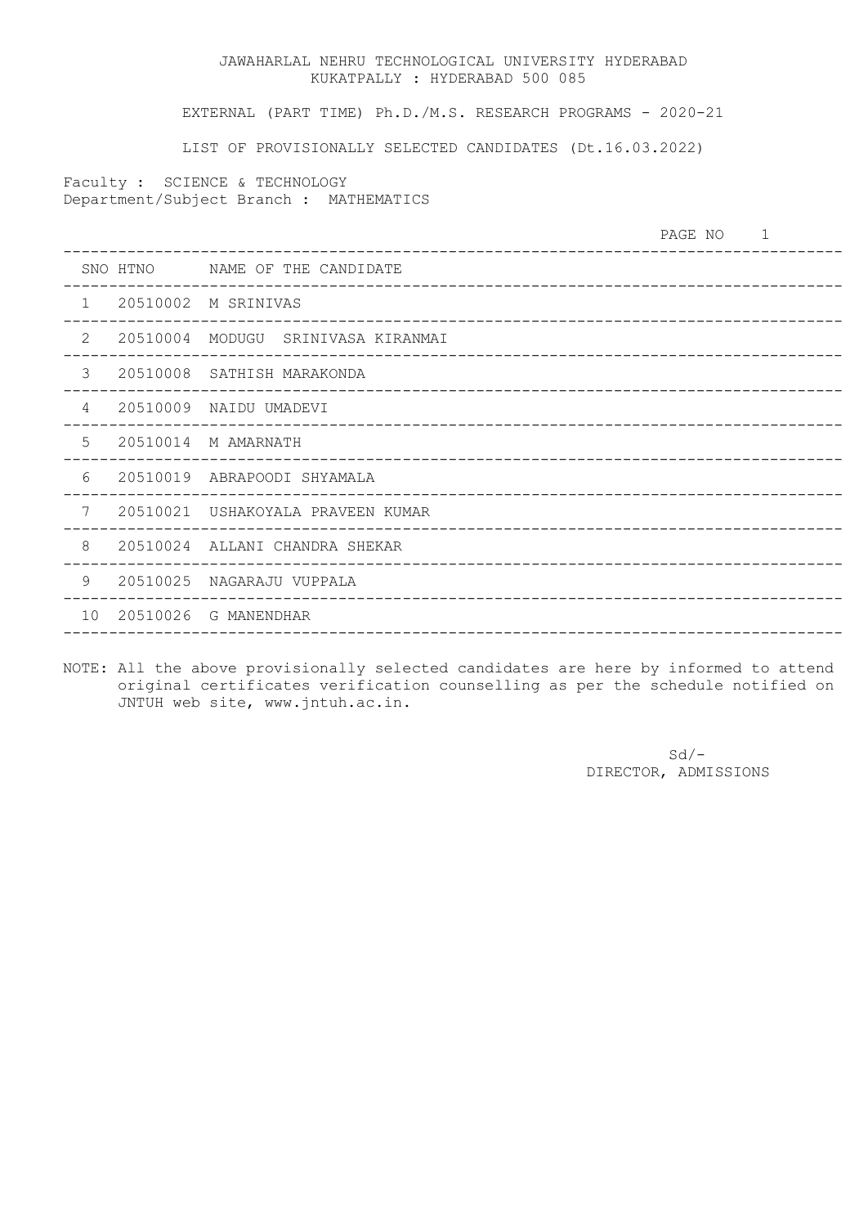EXTERNAL (PART TIME) Ph.D./M.S. RESEARCH PROGRAMS - 2020-21

LIST OF PROVISIONALLY SELECTED CANDIDATES (Dt.16.03.2022)

Faculty : SCIENCE & TECHNOLOGY Department/Subject Branch : MATHEMATICS

|                 |          | ________________________________                                     | PAGE NO |  |
|-----------------|----------|----------------------------------------------------------------------|---------|--|
|                 |          | SNO HTNO MAME OF THE CANDIDATE                                       |         |  |
| $\mathbf{1}$    |          | 20510002 M SRINIVAS                                                  |         |  |
| $\overline{2}$  | 20510004 | MODUGU SRINIVASA KIRANMAI                                            |         |  |
| 3               |          | 20510008 SATHISH MARAKONDA                                           |         |  |
| 4               | 20510009 | NAIDU UMADEVI                                                        |         |  |
| 5               |          | 20510014 M AMARNATH                                                  |         |  |
| 6               |          | 20510019 ABRAPOODI SHYAMALA                                          |         |  |
| 7               |          | 20510021 USHAKOYALA PRAVEEN KUMAR                                    |         |  |
| 8               |          | 20510024 ALLANI CHANDRA SHEKAR<br>__________________________________ |         |  |
| 9               | 20510025 | NAGARAJU VUPPALA                                                     |         |  |
| 10 <sup>°</sup> |          | 20510026 G MANENDHAR                                                 |         |  |
|                 |          |                                                                      |         |  |

NOTE: All the above provisionally selected candidates are here by informed to attend original certificates verification counselling as per the schedule notified on JNTUH web site, www.jntuh.ac.in.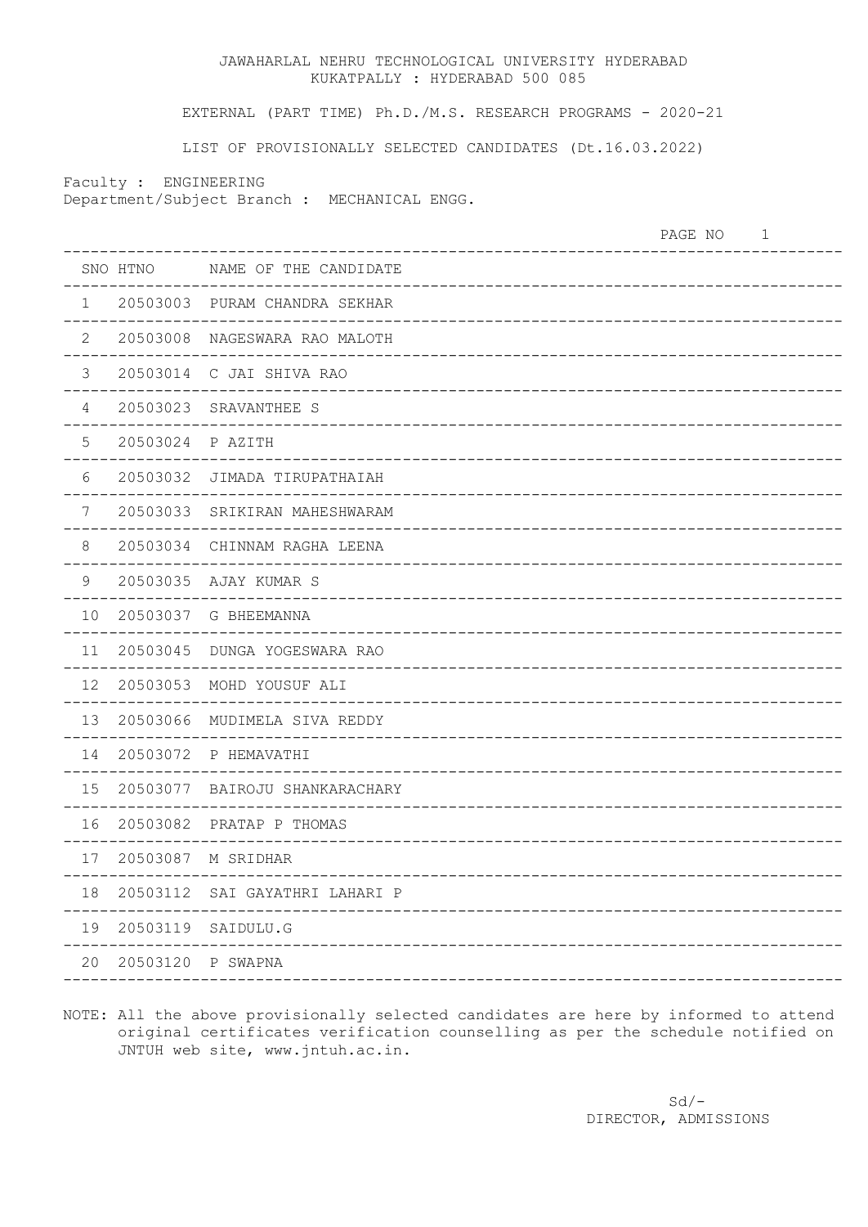EXTERNAL (PART TIME) Ph.D./M.S. RESEARCH PROGRAMS - 2020-21

LIST OF PROVISIONALLY SELECTED CANDIDATES (Dt.16.03.2022)

Faculty : ENGINEERING

Department/Subject Branch : MECHANICAL ENGG.

|                         |                   |                                   | PAGE NO | $\mathbf 1$ |
|-------------------------|-------------------|-----------------------------------|---------|-------------|
|                         | SNO HTNO          | NAME OF THE CANDIDATE             |         |             |
| $\mathbf{1}$<br>$- - -$ | 20503003          | PURAM CHANDRA SEKHAR              |         |             |
| 2                       |                   | 20503008 NAGESWARA RAO MALOTH     |         |             |
| $\mathfrak{Z}$          |                   | 20503014 C JAI SHIVA RAO          |         |             |
| 4                       |                   | 20503023 SRAVANTHEE S             |         |             |
| 5                       | 20503024 P AZITH  |                                   |         |             |
| 6                       |                   | 20503032 JIMADA TIRUPATHAIAH      |         |             |
| 7                       |                   | 20503033 SRIKIRAN MAHESHWARAM     |         |             |
| 8                       |                   | 20503034 CHINNAM RAGHA LEENA      |         |             |
| 9                       |                   | 20503035 AJAY KUMAR S             |         |             |
| 10                      |                   | 20503037 G BHEEMANNA              |         |             |
| 11                      |                   | 20503045 DUNGA YOGESWARA RAO      |         |             |
| 12 <sup>7</sup>         |                   | 20503053 MOHD YOUSUF ALI          |         |             |
| 13                      |                   | 20503066 MUDIMELA SIVA REDDY      |         |             |
| 14                      |                   | 20503072 P HEMAVATHI              |         |             |
|                         |                   | 15 20503077 BAIROJU SHANKARACHARY |         |             |
|                         |                   | 16  20503082  PRATAP P THOMAS     |         |             |
| 17                      |                   | 20503087 M SRIDHAR                |         |             |
| 18                      |                   | 20503112 SAI GAYATHRI LAHARI P    |         |             |
| 19                      |                   | 20503119 SAIDULU.G                |         |             |
| 20                      | 20503120 P SWAPNA | _________                         |         |             |
|                         |                   |                                   |         |             |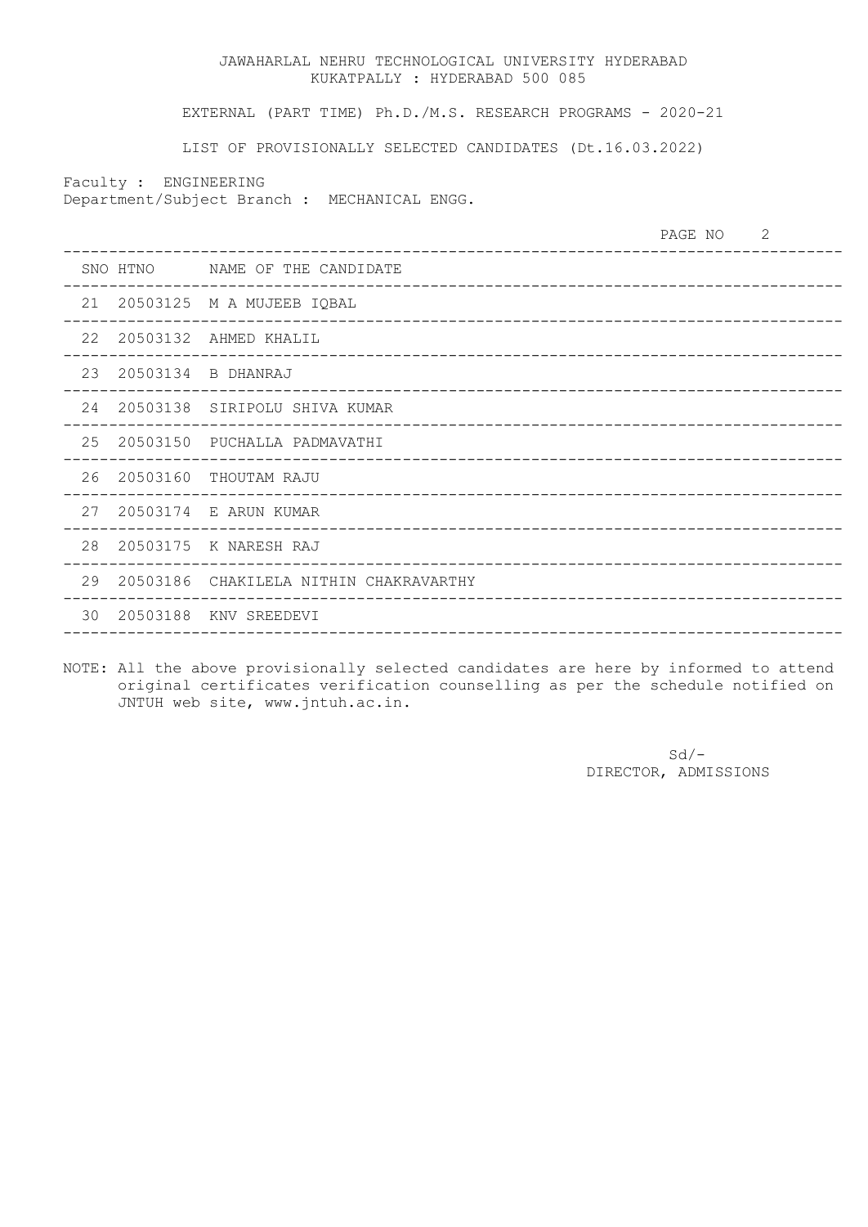EXTERNAL (PART TIME) Ph.D./M.S. RESEARCH PROGRAMS - 2020-21

LIST OF PROVISIONALLY SELECTED CANDIDATES (Dt.16.03.2022)

Faculty : ENGINEERING

Department/Subject Branch : MECHANICAL ENGG.

| SNO HTNO NAME OF THE CANDIDATE<br>___________________________________<br>21 20503125 M A MUJEEB IQBAL<br>22<br>20503132 AHMED KHALIL<br>23<br>20503134 B DHANRAJ<br>24<br>20503138 SIRIPOLU SHIVA KUMAR<br>25<br>20503150 PUCHALLA PADMAVATHI<br>26 20503160 THOUTAM RAJU<br>27  20503174  E  ARUN KUMAR<br>___________________________________<br>28<br>20503175 K NARESH RAJ |  | PAGE NO | 2 |
|--------------------------------------------------------------------------------------------------------------------------------------------------------------------------------------------------------------------------------------------------------------------------------------------------------------------------------------------------------------------------------|--|---------|---|
|                                                                                                                                                                                                                                                                                                                                                                                |  |         |   |
|                                                                                                                                                                                                                                                                                                                                                                                |  |         |   |
|                                                                                                                                                                                                                                                                                                                                                                                |  |         |   |
|                                                                                                                                                                                                                                                                                                                                                                                |  |         |   |
|                                                                                                                                                                                                                                                                                                                                                                                |  |         |   |
|                                                                                                                                                                                                                                                                                                                                                                                |  |         |   |
|                                                                                                                                                                                                                                                                                                                                                                                |  |         |   |
|                                                                                                                                                                                                                                                                                                                                                                                |  |         |   |
|                                                                                                                                                                                                                                                                                                                                                                                |  |         |   |
| 29<br>20503186 CHAKILELA NITHIN CHAKRAVARTHY                                                                                                                                                                                                                                                                                                                                   |  |         |   |
| 30<br>20503188<br>KNV SREEDEVI                                                                                                                                                                                                                                                                                                                                                 |  |         |   |

NOTE: All the above provisionally selected candidates are here by informed to attend original certificates verification counselling as per the schedule notified on JNTUH web site, www.jntuh.ac.in.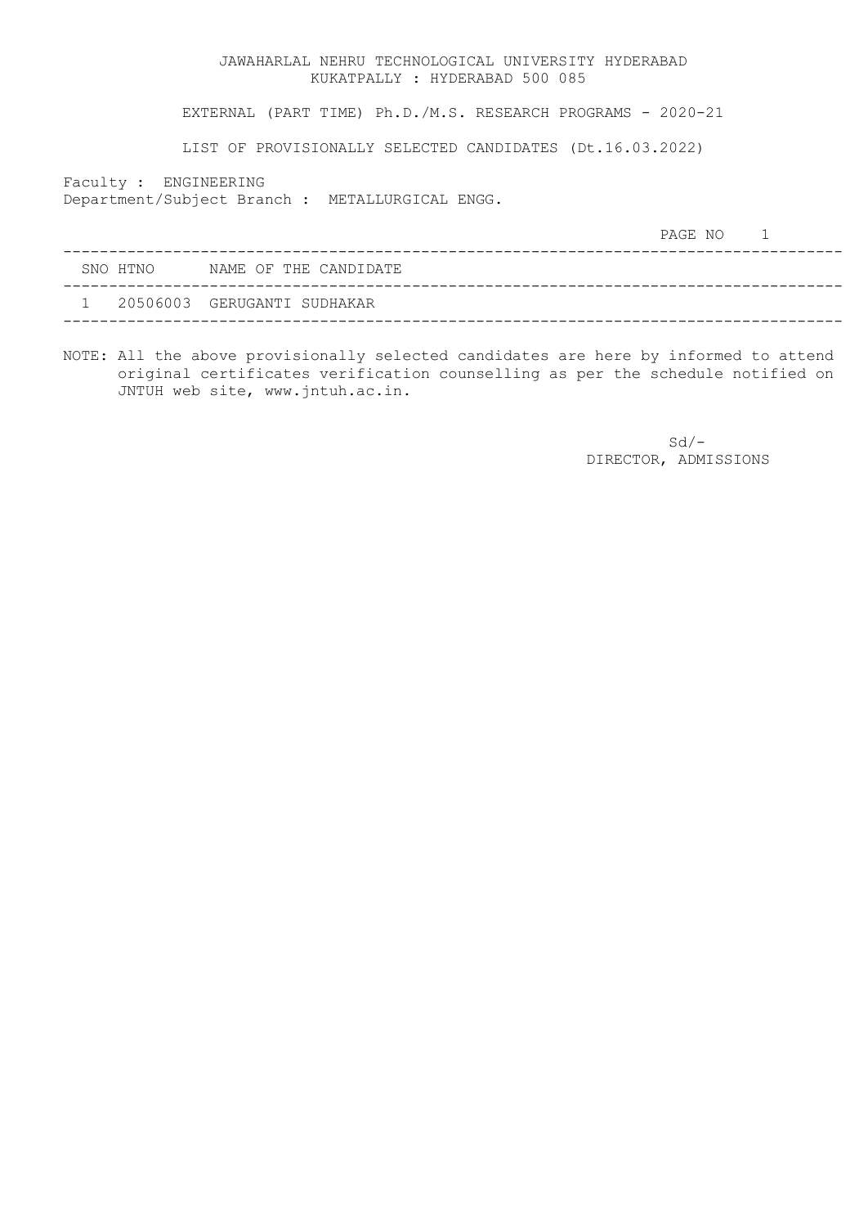EXTERNAL (PART TIME) Ph.D./M.S. RESEARCH PROGRAMS - 2020-21

LIST OF PROVISIONALLY SELECTED CANDIDATES (Dt.16.03.2022)

Faculty : ENGINEERING

Department/Subject Branch : METALLURGICAL ENGG.

|          |                             | PAGE NO |  |
|----------|-----------------------------|---------|--|
| SNO HTNO | NAME OF THE CANDIDATE       |         |  |
|          | 20506003 GERUGANTI SUDHAKAR |         |  |
|          |                             |         |  |

NOTE: All the above provisionally selected candidates are here by informed to attend original certificates verification counselling as per the schedule notified on JNTUH web site, www.jntuh.ac.in.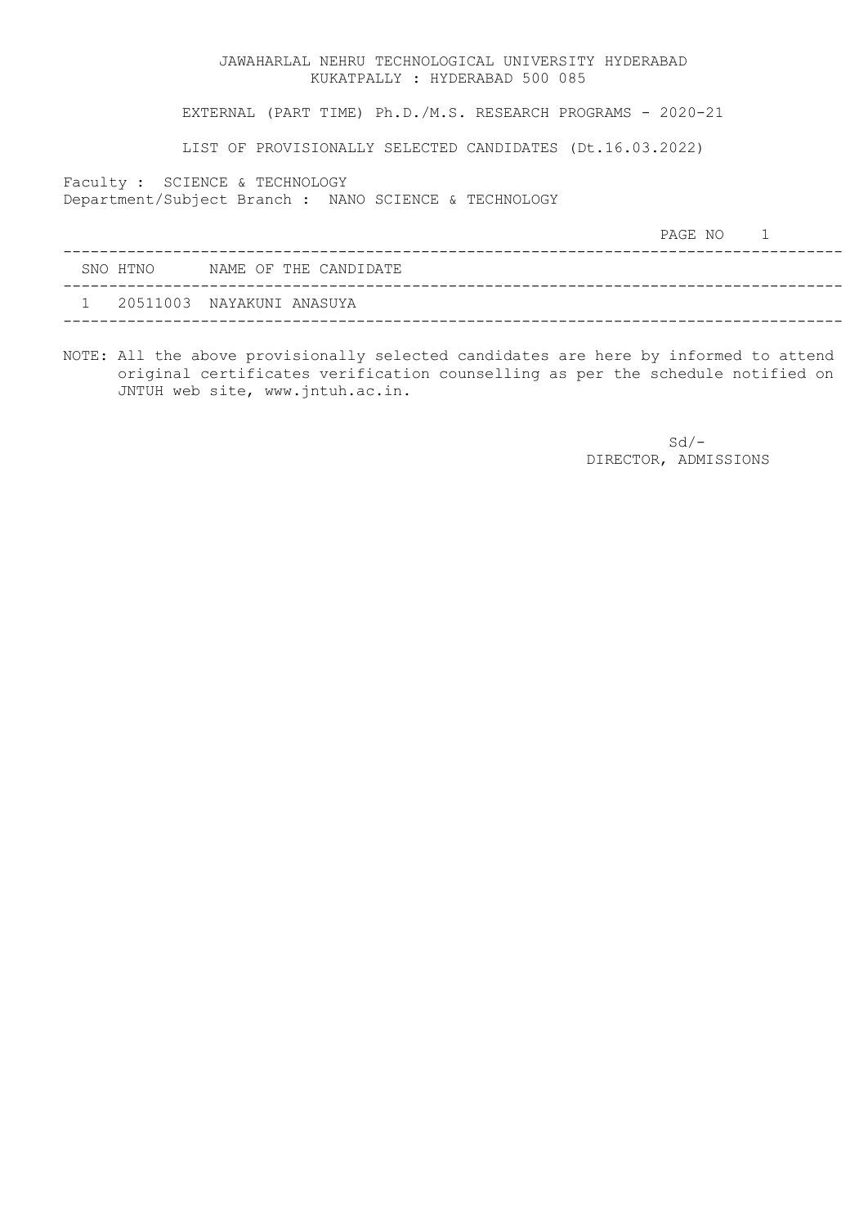EXTERNAL (PART TIME) Ph.D./M.S. RESEARCH PROGRAMS - 2020-21

LIST OF PROVISIONALLY SELECTED CANDIDATES (Dt.16.03.2022)

Faculty : SCIENCE & TECHNOLOGY

Department/Subject Branch : NANO SCIENCE & TECHNOLOGY

|  |          |                             | PAGE NO |  |
|--|----------|-----------------------------|---------|--|
|  | SNO HTNO | NAME OF THE CANDIDATE       |         |  |
|  |          | 1 20511003 NAYAKUNI ANASUYA |         |  |
|  |          |                             |         |  |

NOTE: All the above provisionally selected candidates are here by informed to attend original certificates verification counselling as per the schedule notified on JNTUH web site, www.jntuh.ac.in.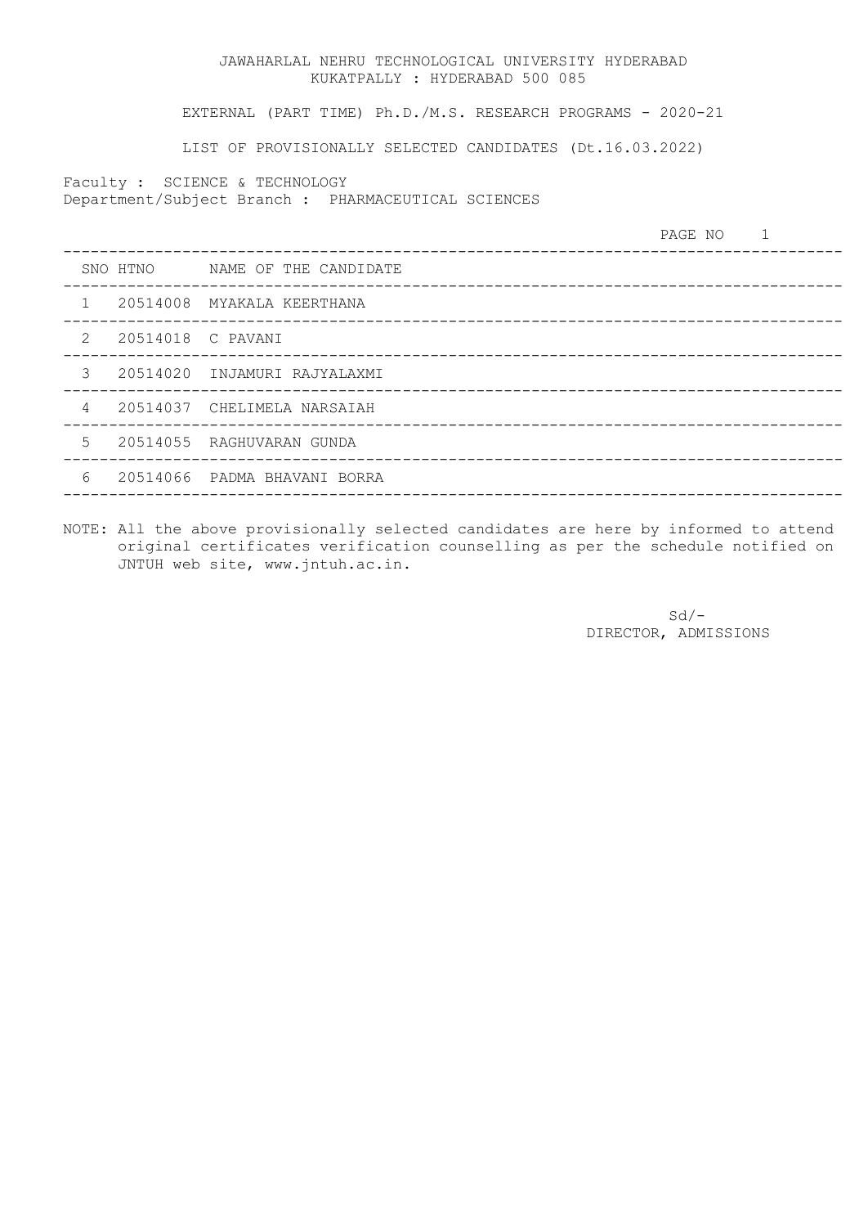EXTERNAL (PART TIME) Ph.D./M.S. RESEARCH PROGRAMS - 2020-21

LIST OF PROVISIONALLY SELECTED CANDIDATES (Dt.16.03.2022)

Faculty : SCIENCE & TECHNOLOGY

Department/Subject Branch : PHARMACEUTICAL SCIENCES

|                |                   |                                | PAGE NO 1 |  |
|----------------|-------------------|--------------------------------|-----------|--|
|                |                   | SNO HTNO MAME OF THE CANDIDATE |           |  |
| $\mathbf{1}$   |                   | 20514008 MYAKALA KEERTHANA     |           |  |
| 2              | 20514018 C PAVANI |                                |           |  |
| 3              |                   | 20514020 INJAMURI RAJYALAXMI   |           |  |
| $\overline{4}$ |                   | 20514037 CHELIMELA NARSAIAH    |           |  |
| 5              |                   | 20514055 RAGHUVARAN GUNDA      |           |  |
| 6              |                   | 20514066 PADMA BHAVANI BORRA   |           |  |
|                |                   |                                |           |  |

NOTE: All the above provisionally selected candidates are here by informed to attend original certificates verification counselling as per the schedule notified on JNTUH web site, www.jntuh.ac.in.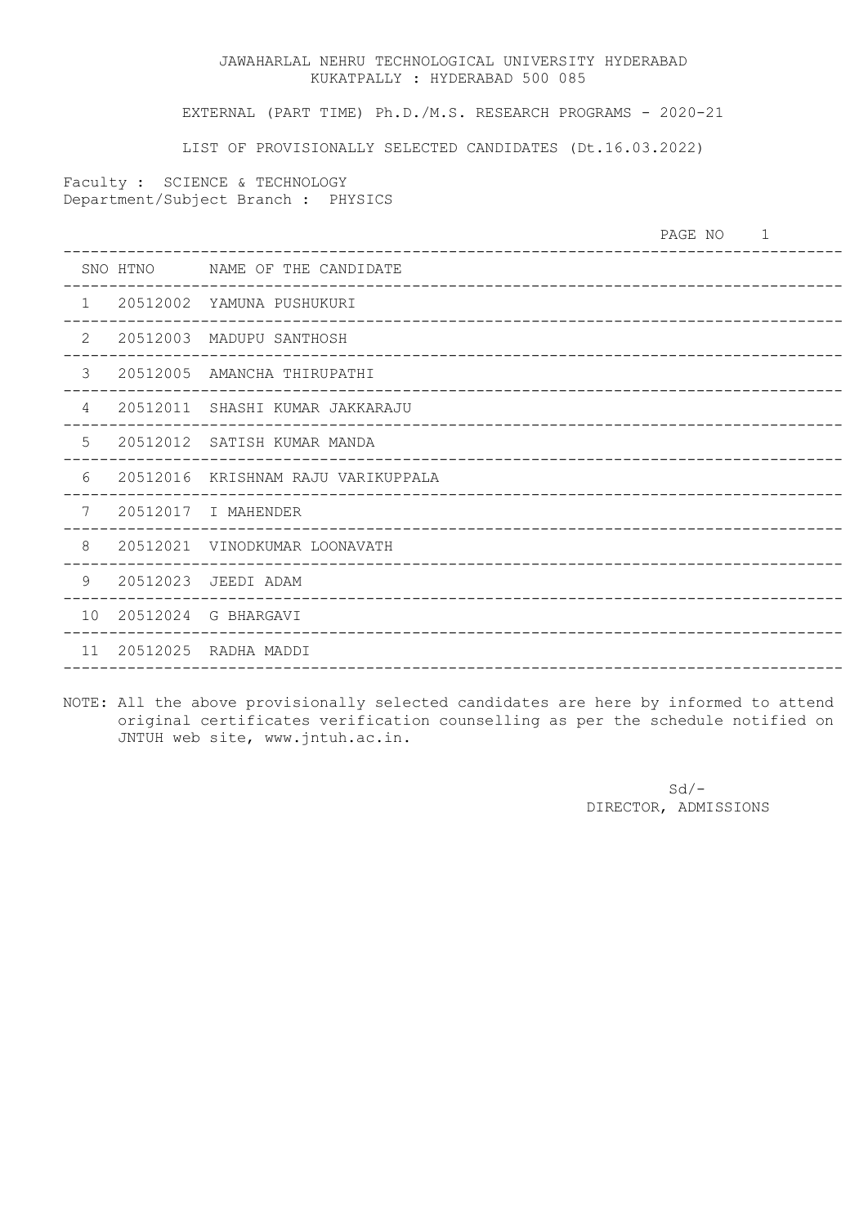EXTERNAL (PART TIME) Ph.D./M.S. RESEARCH PROGRAMS - 2020-21

LIST OF PROVISIONALLY SELECTED CANDIDATES (Dt.16.03.2022)

Faculty : SCIENCE & TECHNOLOGY Department/Subject Branch : PHYSICS

| SNO HTNO MAME OF THE CANDIDATE<br>$\mathbf{1}$<br>20512002 YAMUNA PUSHUKURI<br>2<br>20512003 MADUPU SANTHOSH<br>3<br>20512005<br>AMANCHA THIRUPATHI<br>20512011 SHASHI KUMAR JAKKARAJU<br>4<br>5<br>20512012 SATISH KUMAR MANDA |
|---------------------------------------------------------------------------------------------------------------------------------------------------------------------------------------------------------------------------------|
|                                                                                                                                                                                                                                 |
|                                                                                                                                                                                                                                 |
|                                                                                                                                                                                                                                 |
|                                                                                                                                                                                                                                 |
|                                                                                                                                                                                                                                 |
|                                                                                                                                                                                                                                 |
| 6<br>20512016 KRISHNAM RAJU VARIKUPPALA                                                                                                                                                                                         |
| 7<br>20512017 I MAHENDER                                                                                                                                                                                                        |
| 8<br>20512021 VINODKUMAR LOONAVATH                                                                                                                                                                                              |
| 9<br>20512023 JEEDI ADAM                                                                                                                                                                                                        |
| 10<br>20512024 G BHARGAVI                                                                                                                                                                                                       |
| 11<br>20512025 RADHA MADDI                                                                                                                                                                                                      |

NOTE: All the above provisionally selected candidates are here by informed to attend original certificates verification counselling as per the schedule notified on JNTUH web site, www.jntuh.ac.in.